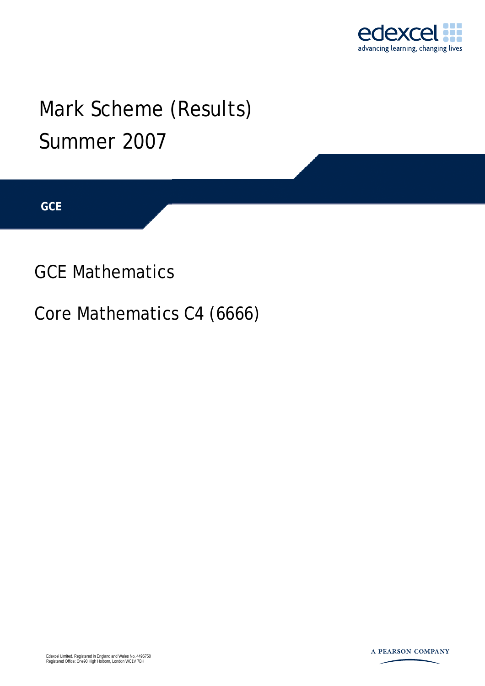

## Mark Scheme (Results) Summer 2007

**GCE** 

GCE Mathematics

Core Mathematics C4 (6666)

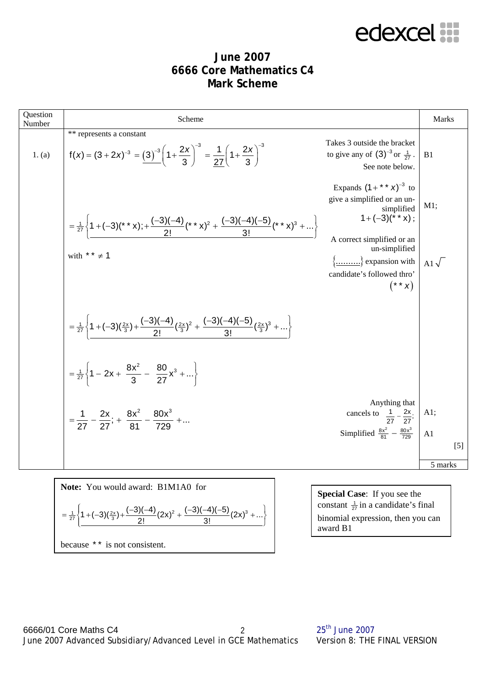edexcel :::

#### **June 2007 6666 Core Mathematics C4 Mark Scheme**

| Question<br>Number | Scheme                                                                                                                                                       |                                                                                                                             | Marks            |
|--------------------|--------------------------------------------------------------------------------------------------------------------------------------------------------------|-----------------------------------------------------------------------------------------------------------------------------|------------------|
| 1. (a)             | ** represents a constant<br>$f(x) = (3 + 2x)^{-3} = \frac{(3)^{-3}}{3} \left(1 + \frac{2x}{3}\right)^{-3} = \frac{1}{27} \left(1 + \frac{2x}{3}\right)^{-3}$ | Takes 3 outside the bracket<br>to give any of $(3)^{-3}$ or $\frac{1}{27}$ .<br>See note below.                             | B1               |
|                    | $=\frac{1}{27}\left\{1+(-3)(^{*} \times x);+\frac{(-3)(-4)}{2!}(^{*} \times x)^{2}+\frac{(-3)(-4)(-5)}{3!}(^{*} \times x)^{3}+\right\}$                      | Expands $(1 + * * x)^{-3}$ to<br>give a simplified or an un-<br>simplified<br>$1+(-3)(**x)$ ;                               | M1;              |
|                    | with ** $\neq$ 1                                                                                                                                             | A correct simplified or an<br>un-simplified<br>$\{\dots \dots \}$ expansion with<br>candidate's followed thro'<br>$(* * x)$ | Al $\sqrt{ }$    |
|                    | $=\frac{1}{27}\left\{1+(-3)(\frac{2x}{3})+\frac{(-3)(-4)}{2!}(\frac{2x}{3})^2+\frac{(-3)(-4)(-5)}{3!}(\frac{2x}{3})^3+\dots\right\}$                         |                                                                                                                             |                  |
|                    | $=\frac{1}{27}\left\{1-2x+\frac{8x^2}{3}-\frac{80}{27}x^3+\right\}$                                                                                          |                                                                                                                             |                  |
|                    | $=\frac{1}{27}-\frac{2x}{27}$ ; $+\frac{8x^2}{81}-\frac{80x^3}{729}+$                                                                                        | Anything that<br>cancels to $\frac{1}{27} - \frac{2x}{27}$ ;<br>Simplified $\frac{8x^2}{81} - \frac{80x^3}{729}$            | A1;<br>A1        |
|                    |                                                                                                                                                              |                                                                                                                             | $[5]$<br>5 marks |
|                    | Note: You would award: B1M1A0 for                                                                                                                            | Special Case: If you see the                                                                                                |                  |
|                    | $(-3)(-4)$ $(-3)(-4)(-5)$                                                                                                                                    | constant $\frac{1}{27}$ in a candidate's final                                                                              |                  |

 $=\frac{1}{27}\left\{1+(-3)(\frac{2x}{3})+\frac{(-3)(-4)}{2!}(2x)^2+\frac{(-3)(-4)(-5)}{3!}(2x)^3+...\right\}$ because \* \* is not consistent.

award B1 binomial expression, then you can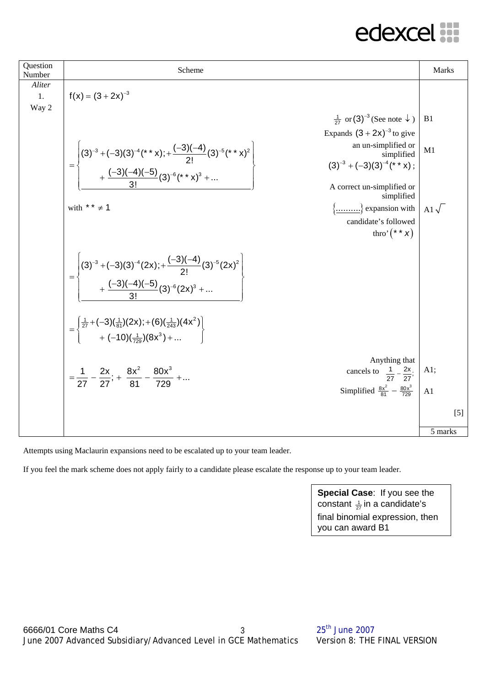| Question<br>Number    | Scheme                                                                                                                                                                                                                                                                                          | Marks          |
|-----------------------|-------------------------------------------------------------------------------------------------------------------------------------------------------------------------------------------------------------------------------------------------------------------------------------------------|----------------|
| Aliter<br>1.<br>Way 2 | $f(x) = (3 + 2x)^{-3}$                                                                                                                                                                                                                                                                          |                |
|                       | $\frac{1}{27}$ or (3) <sup>-3</sup> (See note $\downarrow$ )                                                                                                                                                                                                                                    | B <sub>1</sub> |
|                       | Expands $(3 + 2x)^{-3}$ to give                                                                                                                                                                                                                                                                 |                |
|                       | an un-simplified or<br>$=\left\{\n\begin{pmatrix}\n(3)^{-3} + (-3)(3)^{-4}({}^{*} \cdot {}^{*} \cdot x); + \frac{(-3)(-4)}{2!} (3)^{-5}({}^{*} \cdot {}^{*} \cdot x)^{2} \\ + \frac{(-3)(-4)(-5)}{3!} (3)^{-6}({}^{*} \cdot {}^{*} \cdot x)^{3} + \dots\n\end{pmatrix}\n\right\}$<br>simplified | M1             |
|                       | $(3)^{-3} + (-3)(3)^{-4}$ (* * x);                                                                                                                                                                                                                                                              |                |
|                       | A correct un-simplified or<br>simplified                                                                                                                                                                                                                                                        |                |
|                       | with ** $\neq$ 1<br>$\{\dots \dots \}$ expansion with                                                                                                                                                                                                                                           | Al $\sqrt{ }$  |
|                       | candidate's followed<br>thro' $(* * x)$                                                                                                                                                                                                                                                         |                |
|                       |                                                                                                                                                                                                                                                                                                 |                |
|                       | $=\left\{\n\begin{pmatrix}\n(3)^{-3} + (-3)(3)^{-4}(2x) + \frac{(-3)(-4)}{2!}(3)^{-5}(2x)^{2} \\ + \frac{(-3)(-4)(-5)}{3!}(3)^{-6}(2x)^{3} + \dots\n\end{pmatrix}\n\right\}$                                                                                                                    |                |
|                       | $=\begin{cases} \frac{1}{27} + (-3)(\frac{1}{81})(2x) + (6)(\frac{1}{243})(4x^2) \\ + (-10)(\frac{1}{720})(8x^3) +  \end{cases}$                                                                                                                                                                |                |
|                       | Anything that                                                                                                                                                                                                                                                                                   |                |
|                       | cancels to $\frac{1}{27} - \frac{2x}{27}$ ;<br>$=\frac{1}{27}-\frac{2x}{27}$ ; $+\frac{8x^2}{81}-\frac{80x^3}{720}+$                                                                                                                                                                            | A1;            |
|                       | Simplified $\frac{8x^2}{81} - \frac{80x^3}{729}$                                                                                                                                                                                                                                                | A1             |
|                       |                                                                                                                                                                                                                                                                                                 | $[5]$          |
|                       |                                                                                                                                                                                                                                                                                                 | 5 marks        |

Attempts using Maclaurin expansions need to be escalated up to your team leader.

If you feel the mark scheme does not apply fairly to a candidate please escalate the response up to your team leader.

**Special Case**: If you see the constant  $\frac{1}{27}$ in a candidate's final binomial expression, then you can award B1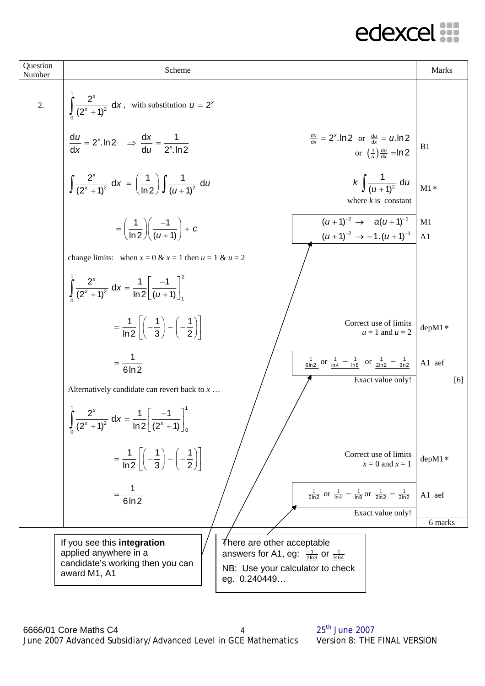#### edexcel **...**

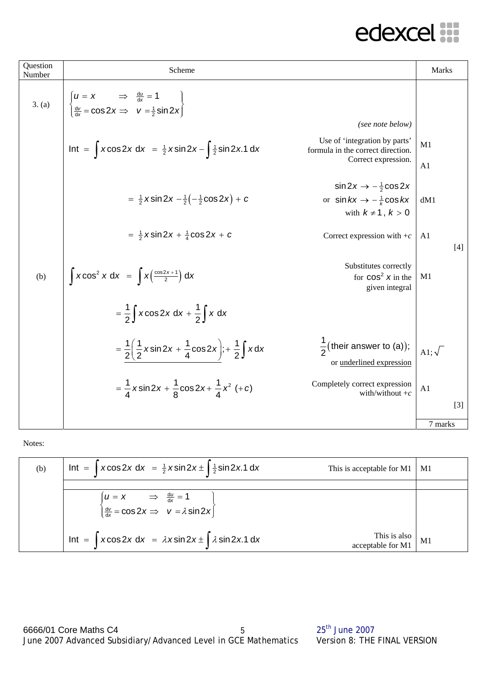| Question<br>Number | Scheme                                                                                                                                                              | <b>Marks</b>    |       |
|--------------------|---------------------------------------------------------------------------------------------------------------------------------------------------------------------|-----------------|-------|
| 3. (a)             | $\begin{cases}\n u = x & \Rightarrow & \frac{du}{dx} = 1 \\  \frac{dv}{dx} = \cos 2x & v = \frac{1}{2} \sin 2x\n\end{cases}$                                        |                 |       |
|                    | (see note below)                                                                                                                                                    |                 |       |
|                    | Use of 'integration by parts'<br>Int = $\int x \cos 2x \, dx = \frac{1}{2} x \sin 2x - \int \frac{1}{2} \sin 2x \cdot 1 \, dx$<br>formula in the correct direction. | M1              |       |
|                    | Correct expression.                                                                                                                                                 | A1              |       |
|                    | $\sin 2x \rightarrow -\frac{1}{2}\cos 2x$                                                                                                                           |                 |       |
|                    | $=\frac{1}{2}x\sin 2x - \frac{1}{2}(-\frac{1}{2}\cos 2x) + c$<br>or $\sin kx \rightarrow -\frac{1}{k}\cos kx$                                                       | dM1             |       |
|                    | with $k \neq 1$ , $k > 0$                                                                                                                                           |                 |       |
|                    | $=\frac{1}{2}x\sin 2x + \frac{1}{4}\cos 2x + c$<br>Correct expression with $+c$                                                                                     | A <sub>1</sub>  |       |
|                    |                                                                                                                                                                     |                 | $[4]$ |
|                    | Substitutes correctly                                                                                                                                               |                 |       |
| (b)                | $\int x \cos^2 x dx = \int x \left( \frac{\cos 2x + 1}{2} \right) dx$<br>for $cos^2 x$ in the<br>given integral                                                     | M1              |       |
|                    |                                                                                                                                                                     |                 |       |
|                    | $=\frac{1}{2}\int x \cos 2x \, dx + \frac{1}{2}\int x \, dx$                                                                                                        |                 |       |
|                    |                                                                                                                                                                     |                 |       |
|                    | $\frac{1}{2}$ (their answer to (a));<br>$=\frac{1}{2}\left(\frac{1}{2}x\sin 2x+\frac{1}{4}\cos 2x\right);+\frac{1}{2}\int xdx$                                      | A1; $\sqrt{\ }$ |       |
|                    | or underlined expression                                                                                                                                            |                 |       |
|                    | $=\frac{1}{4}x\sin 2x + \frac{1}{8}\cos 2x + \frac{1}{4}x^2$ (+c)<br>Completely correct expression<br>with/without $+c$                                             | A1              |       |
|                    |                                                                                                                                                                     |                 | $[3]$ |
|                    |                                                                                                                                                                     | 7 marks         |       |

Notes:

| (b) | Int = $\int x \cos 2x dx = \frac{1}{2} x \sin 2x \pm \frac{1}{2} \sin 2x \cdot 1 dx$                                         | This is acceptable for M1         | - M1 |
|-----|------------------------------------------------------------------------------------------------------------------------------|-----------------------------------|------|
|     |                                                                                                                              |                                   |      |
|     | $\begin{cases} u = x & \Rightarrow \frac{du}{dx} = 1 \\ \frac{dv}{dx} = \cos 2x \Rightarrow v = \lambda \sin 2x \end{cases}$ |                                   |      |
|     | Int = $\int x \cos 2x \, dx = \lambda x \sin 2x \pm \int \lambda \sin 2x \cdot 1 \, dx$                                      | This is also<br>acceptable for M1 | M1   |

 $6666/01$  Core Maths C4  $5$  25<sup>th</sup> June 2007 June 2007 Advanced Subsidiary/Advanced Level in GCE Mathematics Version 8: THE FINAL VERSION 5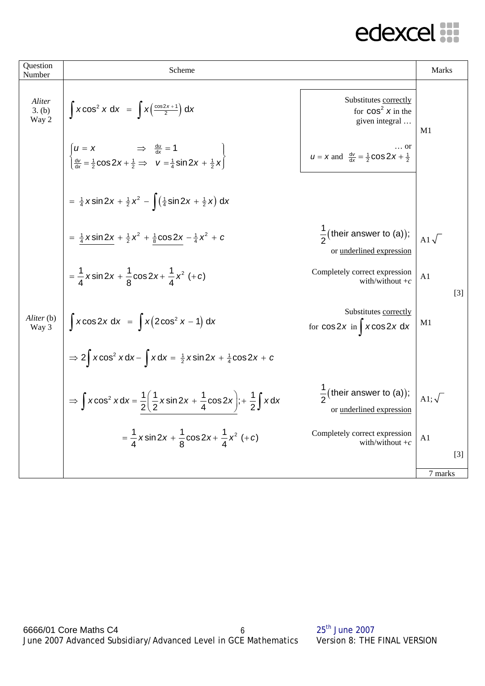| Question<br>Number        | Scheme                                                                                                                                                                     |                                                                       | Marks           |                   |
|---------------------------|----------------------------------------------------------------------------------------------------------------------------------------------------------------------------|-----------------------------------------------------------------------|-----------------|-------------------|
| Aliter<br>3. (b)<br>Way 2 | $\int x \cos^2 x dx = \int x \left( \frac{\cos 2x + 1}{2} \right) dx$                                                                                                      | Substitutes correctly<br>for $cos^2 x$ in the<br>given integral       | M1              |                   |
|                           | $\begin{cases} u = x & \Rightarrow \frac{du}{dx} = 1 \\ \frac{dv}{dx} = \frac{1}{2} \cos 2x + \frac{1}{2} \Rightarrow v = \frac{1}{4} \sin 2x + \frac{1}{2} x \end{cases}$ | or<br>$u = x$ and $\frac{dv}{dx} = \frac{1}{2} \cos 2x + \frac{1}{2}$ |                 |                   |
|                           | $=\frac{1}{4}x\sin 2x + \frac{1}{2}x^2 - \left(\frac{1}{4}\sin 2x + \frac{1}{2}x\right) dx$                                                                                |                                                                       |                 |                   |
|                           | = $\frac{1}{4}$ x sin 2x + $\frac{1}{2}$ x <sup>2</sup> + $\frac{1}{8}$ cos 2x - $\frac{1}{4}$ x <sup>2</sup> + c                                                          | $\frac{1}{2}$ (their answer to (a));<br>or underlined expression      | A1 $\sqrt{ }$   |                   |
|                           | $=\frac{1}{4}x\sin 2x + \frac{1}{8}\cos 2x + \frac{1}{4}x^2$ (+c)                                                                                                          | Completely correct expression<br>with/without $+c$                    | A1              | $\lceil 3 \rceil$ |
| Aliter (b)<br>Way 3       | $\int x \cos 2x \, dx = \int x (2 \cos^2 x - 1) \, dx$                                                                                                                     | Substitutes correctly<br>for $cos 2x$ in $\int x cos 2x dx$           | M <sub>1</sub>  |                   |
|                           | $\Rightarrow$ 2 $\int x \cos^2 x dx - \int x dx = \frac{1}{2}x \sin 2x + \frac{1}{4} \cos 2x + c$                                                                          |                                                                       |                 |                   |
|                           | $\Rightarrow \int x \cos^2 x dx = \frac{1}{2} \left( \frac{1}{2} x \sin 2x + \frac{1}{4} \cos 2x \right); + \frac{1}{2} \int x dx$                                         | $\frac{1}{2}$ (their answer to (a));<br>or underlined expression      | A1; $\sqrt{\ }$ |                   |
|                           | $=\frac{1}{4}x\sin 2x + \frac{1}{8}\cos 2x + \frac{1}{4}x^2$ (+c)                                                                                                          | Completely correct expression<br>with/without $+c$                    | A1              |                   |
|                           |                                                                                                                                                                            |                                                                       |                 | $\lceil 3 \rceil$ |
|                           |                                                                                                                                                                            |                                                                       | 7 marks         |                   |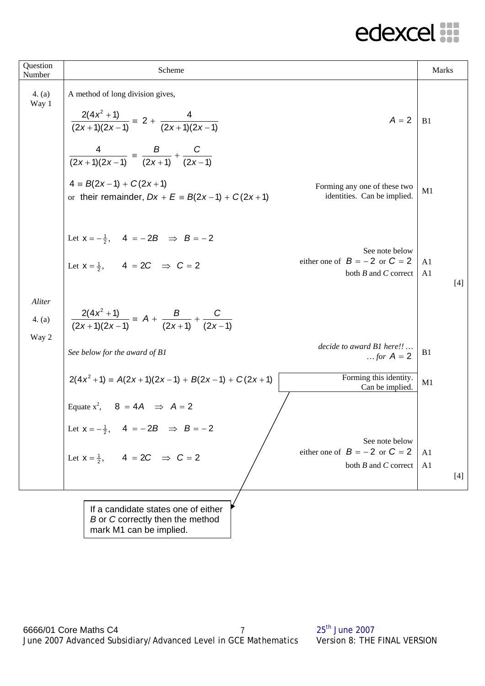| Question<br>Number        | Scheme                                                                                                                                             |                                                                                 | <b>Marks</b>                              |
|---------------------------|----------------------------------------------------------------------------------------------------------------------------------------------------|---------------------------------------------------------------------------------|-------------------------------------------|
| 4. (a)<br>Way 1           | A method of long division gives,<br>$\frac{2(4x^2+1)}{(2x+1)(2x-1)} = 2 + \frac{4}{(2x+1)(2x-1)}$                                                  | $A = 2$                                                                         | B1                                        |
|                           | $\frac{4}{(2x+1)(2x-1)} = \frac{B}{(2x+1)} + \frac{C}{(2x-1)}$<br>$4 \equiv B(2x-1) + C(2x+1)$<br>or their remainder, $Dx + E = B(2x-1) + C(2x+1)$ | Forming any one of these two<br>identities. Can be implied.                     | M1                                        |
|                           | Let $x = -\frac{1}{2}$ , $4 = -2B \implies B = -2$<br>Let $x = \frac{1}{2}$ , $4 = 2C$ $\Rightarrow$ $C = 2$                                       | See note below<br>either one of $B = -2$ or $C = 2$<br>both $B$ and $C$ correct | A <sub>1</sub><br>A <sub>1</sub><br>$[4]$ |
| Aliter<br>4. (a)<br>Way 2 | $\frac{2(4x^2+1)}{(2x+1)(2x-1)} = A + \frac{B}{(2x+1)} + \frac{C}{(2x-1)}$                                                                         |                                                                                 |                                           |
|                           | See below for the award of B1                                                                                                                      | decide to award B1 here!!<br>for $A = 2$                                        | B <sub>1</sub>                            |
|                           | $2(4x^2+1) = A(2x+1)(2x-1) + B(2x-1) + C(2x+1)$                                                                                                    | Forming this identity.<br>Can be implied.                                       | M1                                        |
|                           | Equate $x^2$ , $8 = 4A \implies A = 2$                                                                                                             |                                                                                 |                                           |
|                           | Let $x = -\frac{1}{2}$ , $4 = -2B \implies B = -2$                                                                                                 | See note below                                                                  |                                           |
|                           | Let $x = \frac{1}{2}$ , $4 = 2C \implies C = 2$                                                                                                    | either one of $B = -2$ or $C = 2$<br>both $B$ and $C$ correct                   | A <sub>1</sub><br>A <sub>1</sub><br>$[4]$ |
|                           | If a candidate states one of either<br>B or C correctly then the method<br>mark M1 can be implied.                                                 |                                                                                 |                                           |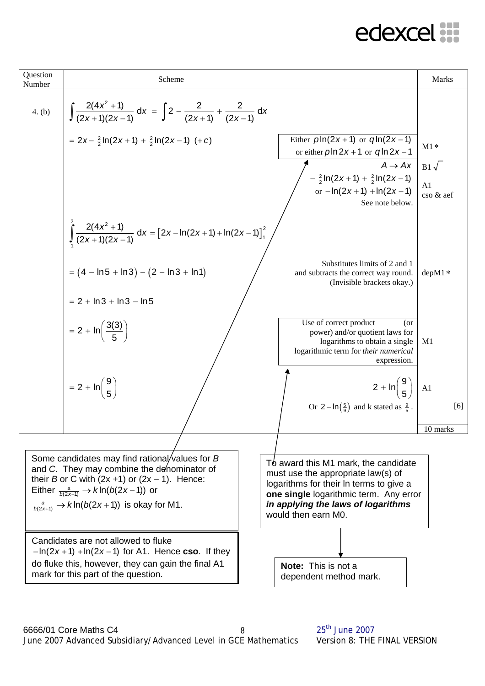| Question<br>Number | Scheme                                                                                                                                                                                                                                                                             |                                                                                                                                                                                                                              | <b>Marks</b>                             |
|--------------------|------------------------------------------------------------------------------------------------------------------------------------------------------------------------------------------------------------------------------------------------------------------------------------|------------------------------------------------------------------------------------------------------------------------------------------------------------------------------------------------------------------------------|------------------------------------------|
| 4. (b)             | $\int \frac{2(4x^2+1)}{(2x+1)(2x-1)} dx = \int 2 - \frac{2}{(2x+1)} + \frac{2}{(2x-1)} dx$                                                                                                                                                                                         |                                                                                                                                                                                                                              |                                          |
|                    | $= 2x - \frac{2}{2} \ln(2x + 1) + \frac{2}{2} \ln(2x - 1)$ (+c)                                                                                                                                                                                                                    | Either $p\ln(2x+1)$ or $q\ln(2x-1)$<br>or either $p\ln 2x + 1$ or $q\ln 2x - 1$<br>$A \rightarrow Ax$<br>$-\frac{2}{2} \ln(2x+1) + \frac{2}{2} \ln(2x-1)$<br>or $-\ln(2x+1) + \ln(2x-1)$<br>See note below.                  | $M1*$<br>$B1\sqrt{ }$<br>A1<br>cso & aef |
|                    | $\int \frac{2(4x^2+1)}{(2x+1)(2x-1)} dx = [2x - \ln(2x+1) + \ln(2x-1)]_1^2$<br>$= (4 - ln 5 + ln 3) - (2 - ln 3 + ln 1)$<br>$= 2 + \ln 3 + \ln 3 - \ln 5$                                                                                                                          | Substitutes limits of 2 and 1<br>and subtracts the correct way round.<br>(Invisible brackets okay.)                                                                                                                          | $depM1*$                                 |
|                    | $= 2 + \ln \left( \frac{3(3)}{5} \right)$                                                                                                                                                                                                                                          | Use of correct product<br>(or<br>power) and/or quotient laws for<br>logarithms to obtain a single<br>logarithmic term for their numerical<br>expression.                                                                     | M1                                       |
|                    | $= 2 + ln \left( \frac{9}{5} \right)$                                                                                                                                                                                                                                              | $2 + \ln\left(\frac{9}{5}\right)$ A1<br>Or $2-\ln(\frac{5}{9})$ and k stated as $\frac{9}{5}$ .                                                                                                                              | [6]                                      |
|                    |                                                                                                                                                                                                                                                                                    |                                                                                                                                                                                                                              | 10 marks                                 |
|                    | Some candidates may find rational/values for $B$<br>and C. They may combine the denominator of<br>their B or C with $(2x +1)$ or $(2x - 1)$ . Hence:<br>Either $\frac{a}{b(2x-1)} \rightarrow k \ln(b(2x-1))$ or<br>$\frac{a}{b(2x+1)} \rightarrow k \ln(b(2x+1))$ is okay for M1. | To award this M1 mark, the candidate<br>must use the appropriate law(s) of<br>logarithms for their In terms to give a<br>one single logarithmic term. Any error<br>in applying the laws of logarithms<br>would then earn M0. |                                          |
|                    | Candidates are not allowed to fluke<br>$-\ln(2x+1) + \ln(2x-1)$ for A1. Hence cso. If they<br>do fluke this, however, they can gain the final A1<br>mark for this part of the question.                                                                                            | <b>Note:</b> This is not a<br>dependent method mark.                                                                                                                                                                         |                                          |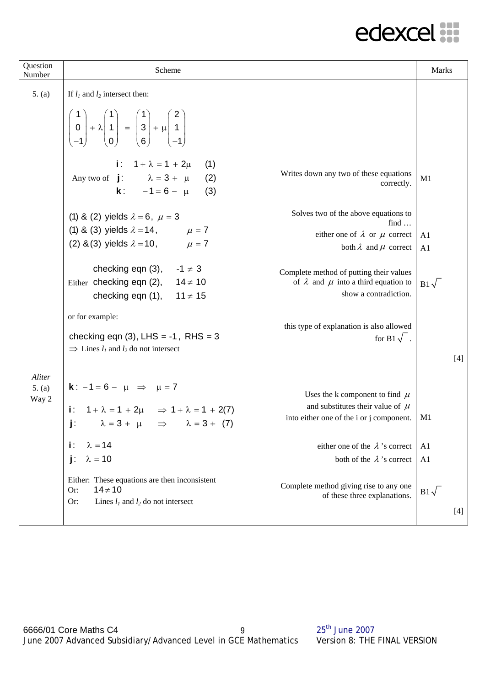| Question<br>Number        | Scheme                                                                                                                                                                                        |                                                                                                                        | Marks                 |
|---------------------------|-----------------------------------------------------------------------------------------------------------------------------------------------------------------------------------------------|------------------------------------------------------------------------------------------------------------------------|-----------------------|
| 5. (a)                    | If $l_1$ and $l_2$ intersect then:                                                                                                                                                            |                                                                                                                        |                       |
|                           | $\begin{pmatrix} 1 \\ 0 \\ -1 \end{pmatrix} + \lambda \begin{pmatrix} 1 \\ 1 \\ 0 \end{pmatrix} = \begin{pmatrix} 1 \\ 3 \\ 6 \end{pmatrix} + \mu \begin{pmatrix} 2 \\ 1 \\ -1 \end{pmatrix}$ |                                                                                                                        |                       |
|                           | i: $1 + \lambda = 1 + 2\mu$<br>(1)<br>Any two of $j: \lambda = 3 + \mu$<br>(2)<br><b>k</b> : $-1 = 6 - \mu$<br>(3)                                                                            | Writes down any two of these equations<br>correctly.                                                                   | M1                    |
|                           | (1) & (2) yields $\lambda = 6$ , $\mu = 3$                                                                                                                                                    | Solves two of the above equations to<br>find $\ldots$                                                                  |                       |
|                           | (1) & (3) yields $\lambda = 14$ , $\mu = 7$<br>(2) & (3) yields $\lambda = 10$ ,<br>$\mu = 7$                                                                                                 | either one of $\lambda$ or $\mu$ correct                                                                               | A <sub>1</sub>        |
|                           |                                                                                                                                                                                               | both $\lambda$ and $\mu$ correct                                                                                       | A <sub>1</sub>        |
|                           | checking eqn $(3)$ , $-1 \neq 3$<br>$14 \neq 10$<br>Either checking eqn (2),<br>$11 \ne 15$<br>checking eqn (1),                                                                              | Complete method of putting their values<br>of $\lambda$ and $\mu$ into a third equation to<br>show a contradiction.    | $B1\sqrt{}$           |
|                           | or for example:<br>checking eqn $(3)$ , LHS = -1, RHS = 3<br>$\Rightarrow$ Lines $l_1$ and $l_2$ do not intersect                                                                             | this type of explanation is also allowed<br>for B1 $\sqrt{$ .                                                          | $[4]$                 |
| Aliter<br>5. (a)<br>Way 2 | <b>k</b> : $-1 = 6 - \mu \implies \mu = 7$<br>i: $1 + \lambda = 1 + 2\mu \implies 1 + \lambda = 1 + 2(7)$<br>j: $\lambda = 3 + \mu \implies \lambda = 3 + (7)$                                | Uses the k component to find $\mu$<br>and substitutes their value of $\mu$<br>into either one of the i or j component. | M <sub>1</sub>        |
|                           | i:<br>$\lambda = 14$                                                                                                                                                                          | either one of the $\lambda$ 's correct                                                                                 | A1                    |
|                           | $\lambda = 10$<br>j:                                                                                                                                                                          | both of the $\lambda$ 's correct                                                                                       | A <sub>1</sub>        |
|                           | Either: These equations are then inconsistent<br>$14 \ne 10$<br>Or:<br>Lines $l_1$ and $l_2$ do not intersect<br>Or:                                                                          | Complete method giving rise to any one<br>of these three explanations.                                                 | $B1\sqrt{ }$<br>$[4]$ |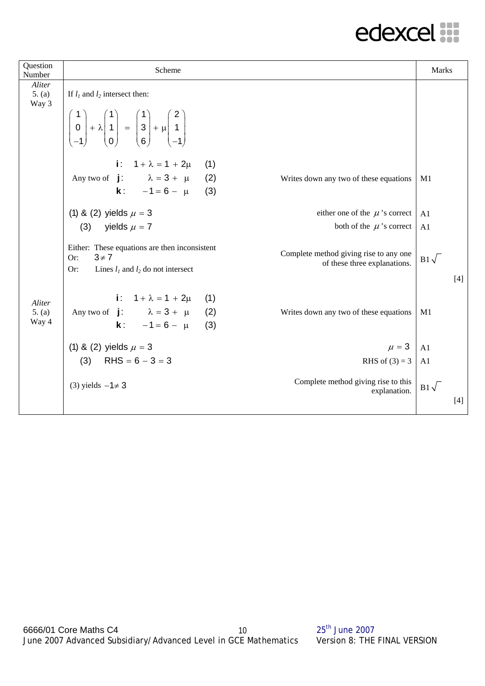| Question<br>Number        | Scheme                                                                                                                                                                                        |                                                                        | Marks                 |
|---------------------------|-----------------------------------------------------------------------------------------------------------------------------------------------------------------------------------------------|------------------------------------------------------------------------|-----------------------|
| Aliter<br>5. (a)<br>Way 3 | If $l_1$ and $l_2$ intersect then:                                                                                                                                                            |                                                                        |                       |
|                           | $\begin{pmatrix} 1 \\ 0 \\ -1 \end{pmatrix} + \lambda \begin{pmatrix} 1 \\ 1 \\ 0 \end{pmatrix} = \begin{pmatrix} 1 \\ 3 \\ 6 \end{pmatrix} + \mu \begin{pmatrix} 2 \\ 1 \\ -1 \end{pmatrix}$ |                                                                        |                       |
|                           | i: $1 + \lambda = 1 + 2\mu$<br>Any two of $\mathbf{j}$ : $\lambda = 3 + \mu$<br><b>k</b> : $-1 = 6 - \mu$                                                                                     | (1)<br>(2)<br>Writes down any two of these equations<br>(3)            | M <sub>1</sub>        |
|                           | (1) & (2) yields $\mu = 3$                                                                                                                                                                    | either one of the $\mu$ 's correct                                     | A <sub>1</sub>        |
|                           | (3) yields $\mu = 7$                                                                                                                                                                          | both of the $\mu$ 's correct                                           | A1                    |
|                           | Either: These equations are then inconsistent<br>$3 \neq 7$<br>Or:<br>Or:<br>Lines $l_1$ and $l_2$ do not intersect                                                                           | Complete method giving rise to any one<br>of these three explanations. | $B1\sqrt{}$<br>$[4]$  |
| Aliter<br>5. (a)<br>Way 4 | i: $1 + \lambda = 1 + 2\mu$<br>Any two of $\mathbf{j}$ : $\lambda = 3 + \mu$<br><b>k</b> : $-1 = 6 - \mu$                                                                                     | (1)<br>(2)<br>Writes down any two of these equations<br>(3)            | M1                    |
|                           | (1) & (2) yields $\mu = 3$                                                                                                                                                                    | $\mu = 3$                                                              | A1                    |
|                           | (3) RHS = $6 - 3 = 3$                                                                                                                                                                         | RHS of $(3) = 3$                                                       | A <sub>1</sub>        |
|                           | (3) yields $-1 \neq 3$                                                                                                                                                                        | Complete method giving rise to this<br>explanation.                    | $B1\sqrt{ }$<br>$[4]$ |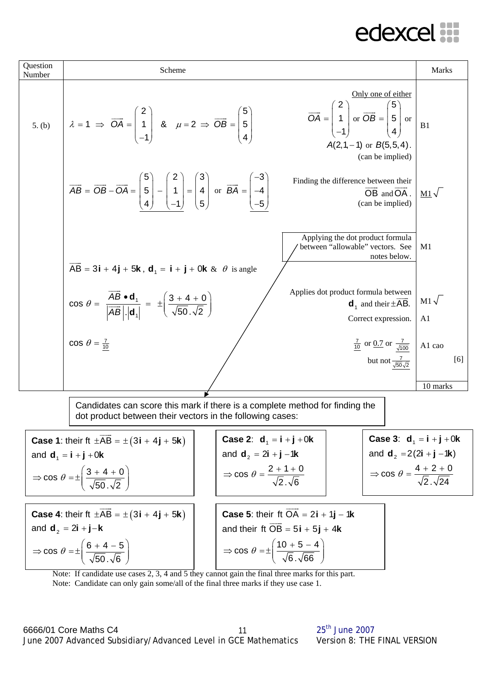

Note: If candidate use cases 2, 3, 4 and 5 they cannot gain the final three marks for this part. Note: Candidate can only gain some/all of the final three marks if they use case 1.

6666/01 Core Maths C4 25<sup>th</sup> June 2007 June 2007 Advanced Subsidiary/Advanced Level in GCE Mathematics Version 8: THE FINAL VERSION 11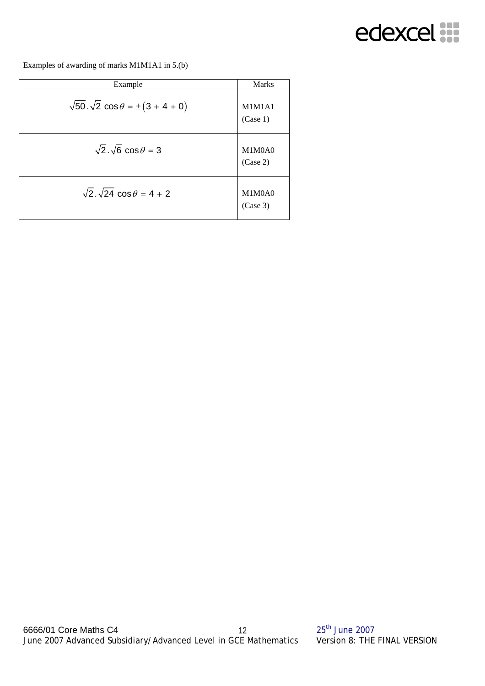

Examples of awarding of marks M1M1A1 in 5.(b)

| Example                                                  | <b>Marks</b>       |
|----------------------------------------------------------|--------------------|
| $\sqrt{50} \cdot \sqrt{2} \cos \theta = \pm (3 + 4 + 0)$ | M1M1A1<br>(Case 1) |
| $\sqrt{2} \cdot \sqrt{6} \cos \theta = 3$                | M1M0A0<br>(Case 2) |
| $\sqrt{2} \cdot \sqrt{24} \cos \theta = 4 + 2$           | M1M0A0<br>(Case 3) |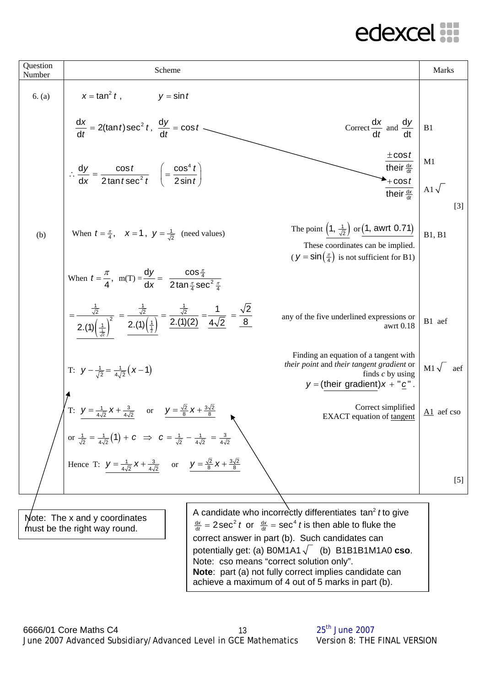

achieve a maximum of 4 out of 5 marks in part (b).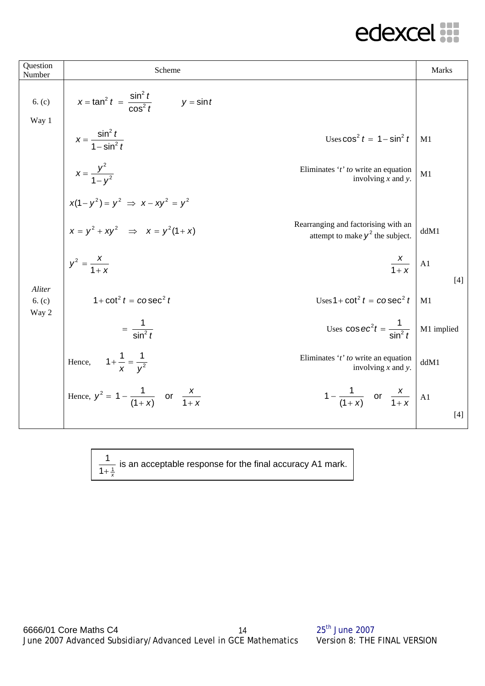| Question<br>Number        | Scheme                                                                                                                                                              | Marks       |
|---------------------------|---------------------------------------------------------------------------------------------------------------------------------------------------------------------|-------------|
| 6. (c)<br>Way 1           | $x = \tan^2 t = \frac{\sin^2 t}{\cos^2 t}$<br>$y = \sin t$                                                                                                          |             |
|                           | $x = \frac{\sin^2 t}{1 - \sin^2 t}$<br>Uses $\cos^2 t = 1 - \sin^2 t$                                                                                               | M1          |
|                           | $x = \frac{y^2}{1 - y^2}$<br>Eliminates 't' to write an equation<br>involving $x$ and $y$ .                                                                         | M1          |
|                           |                                                                                                                                                                     |             |
|                           | $x(1 - y^2) = y^2 \implies x - xy^2 = y^2$<br>$x = y^2 + xy^2 \implies x = y^2(1 + x)$<br>Rearranging and factorising with an<br>attempt to make $y^2$ the subject. | ddM1        |
|                           | $y^2 = \frac{x}{1+x}$<br>$\frac{x}{1+x}$ A1                                                                                                                         | $[4]$       |
| Aliter<br>6. (c)<br>Way 2 | $1 + \cot^2 t = \csc^2 t$<br>Uses $1 + \cot^2 t = \csc^2 t$                                                                                                         | M1          |
|                           | Uses $\cos ec^2t = \frac{1}{\sin^2 t}$<br>$=\frac{1}{\sin^2 t}$                                                                                                     | M1 implied  |
|                           | Hence, $1 + \frac{1}{x} = \frac{1}{v^2}$<br>Eliminates 't' to write an equation<br>involving $x$ and $y$ .                                                          | ddM1        |
|                           | Hence, $y^2 = 1 - \frac{1}{(1+x)}$ or $\frac{x}{1+x}$<br>$1 - \frac{1}{(1+x)}$ or $\frac{x}{1+x}$                                                                   | A1<br>$[4]$ |
|                           |                                                                                                                                                                     |             |

1 1  $1 + \frac{1}{x}$ is an acceptable response for the final accuracy A1 mark.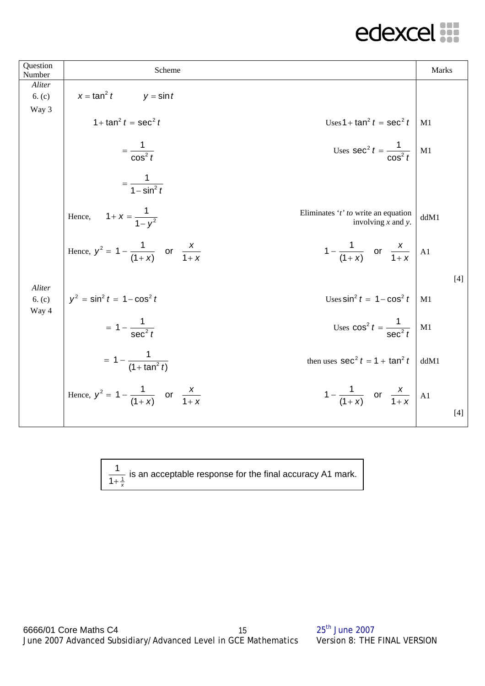| Question<br>Number        | Scheme                                                                                                   | Marks |
|---------------------------|----------------------------------------------------------------------------------------------------------|-------|
| Aliter                    | $x = \tan^2 t$<br>$y = \sin t$                                                                           |       |
| 6. (c)<br>Way 3           |                                                                                                          |       |
|                           | 1+ $\tan^2 t = \sec^2 t$<br>Uses $1 + \tan^2 t = \sec^2 t$                                               | M1    |
|                           | Uses $\sec^2 t = \frac{1}{\cos^2 t}$<br>$=\frac{1}{\cos^2 t}$                                            | M1    |
|                           | $=\frac{1}{1-\sin^2 t}$                                                                                  |       |
|                           | Hence, $1 + x = \frac{1}{1 - v^2}$<br>Eliminates ' $t$ ' to write an equation<br>involving $x$ and $y$ . | ddM1  |
|                           | Hence, $y^2 = 1 - \frac{1}{(1+x)}$ or $\frac{x}{1+x}$<br>$1 - \frac{1}{(1+x)}$ or $\frac{x}{1+x}$ A1     |       |
|                           |                                                                                                          | $[4]$ |
| Aliter<br>6. (c)<br>Way 4 | $y^2 = \sin^2 t = 1 - \cos^2 t$<br>Uses $\sin^2 t = 1 - \cos^2 t$                                        | M1    |
|                           | Uses $\cos^2 t = \frac{1}{\sec^2 t}$ M1<br>$= 1 - \frac{1}{\sec^2 t}$                                    |       |
|                           | $= 1 - \frac{1}{(1 + \tan^2 t)}$<br>then uses $\sec^2 t = 1 + \tan^2 t$                                  | ddM1  |
|                           | Hence, $y^2 = 1 - \frac{1}{(1+x)}$ or $\frac{x}{1+x}$<br>$1 - \frac{1}{(1+x)}$ or $\frac{x}{1+x}$        | A1    |
|                           |                                                                                                          | $[4]$ |

1 1  $1 + \frac{1}{x}$ is an acceptable response for the final accuracy A1 mark.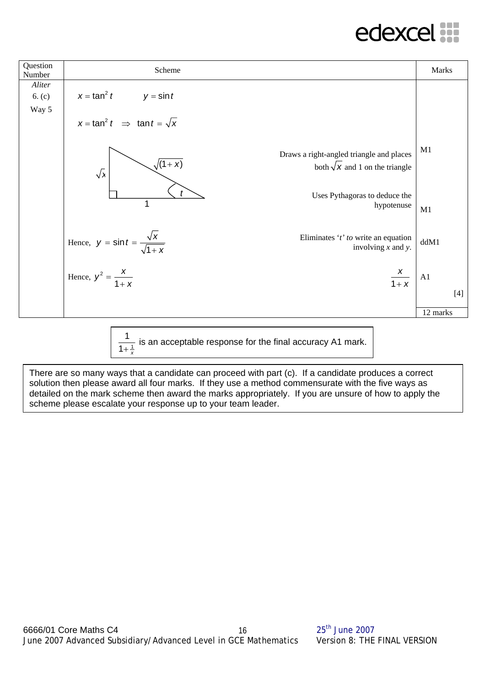| Question<br>Number        | Scheme                                                                                                                | Marks       |
|---------------------------|-----------------------------------------------------------------------------------------------------------------------|-------------|
| Aliter<br>6. (c)<br>Way 5 | $x = \tan^2 t$ $y = \sin t$                                                                                           |             |
|                           | $x = \tan^2 t \implies \tan t = \sqrt{x}$                                                                             |             |
|                           | Draws a right-angled triangle and places<br>$\sqrt{(1+x)}$<br>both $\sqrt{x}$ and 1 on the triangle<br>$\sqrt{2}$     | M1          |
|                           | Uses Pythagoras to deduce the<br>1<br>hypotenuse                                                                      | M1          |
|                           | Hence, $y = \sin t = \frac{\sqrt{x}}{\sqrt{1 + x}}$<br>Eliminates 't' to write an equation<br>involving $x$ and $y$ . | ddM1        |
|                           | $\frac{x}{1+x}$<br>Hence, $y^2 = \frac{x}{1+x}$                                                                       | A1<br>$[4]$ |
|                           |                                                                                                                       | 12 marks    |

1 1  $1 + \frac{1}{x}$ is an acceptable response for the final accuracy A1 mark.

There are so many ways that a candidate can proceed with part (c). If a candidate produces a correct solution then please award all four marks. If they use a method commensurate with the five ways as detailed on the mark scheme then award the marks appropriately. If you are unsure of how to apply the scheme please escalate your response up to your team leader.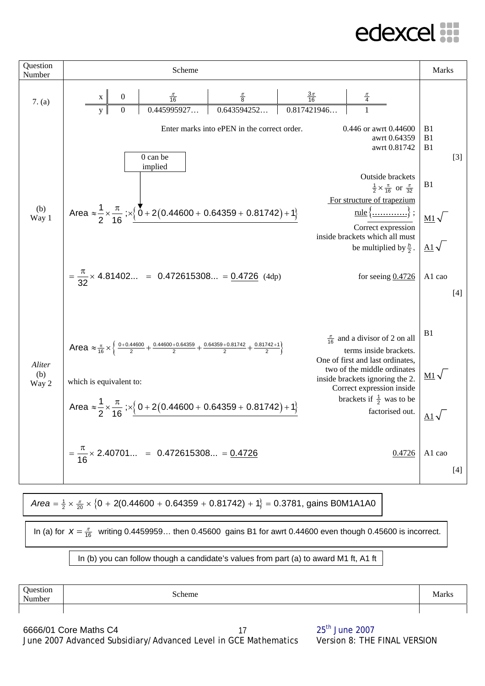#### **AUSKLAINE**



Area = 
$$
\frac{1}{2} \times \frac{\pi}{20} \times \{0 + 2(0.44600 + 0.64359 + 0.81742) + 1\} = 0.3781
$$
, gains BOM1A1A0

In (a) for  $X = \frac{\pi}{16}$  writing 0.4459959... then 0.45600 gains B1 for awrt 0.44600 even though 0.45600 is incorrect.

#### In (b) you can follow though a candidate's values from part (a) to award M1 ft, A1 ft

| Question<br>Number | Scheme | Marks |
|--------------------|--------|-------|
|                    |        |       |

6666/01 Core Maths C4 25<sup>th</sup> June 2007 June 2007 Advanced Subsidiary/Advanced Level in GCE Mathematics Version 8: THE FINAL VERSION 17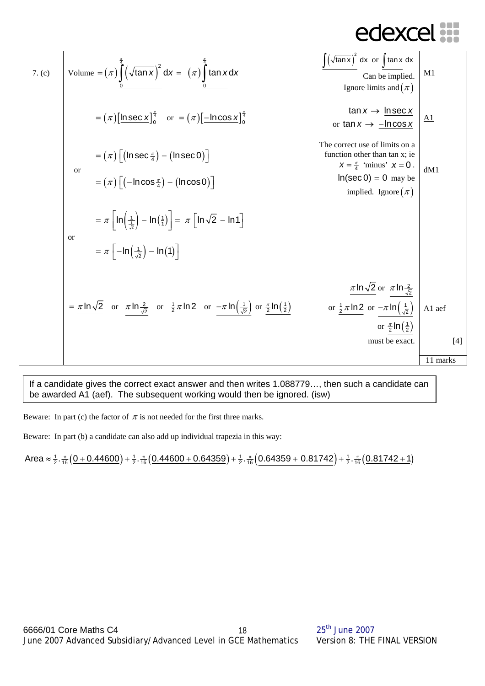7. (c)  
\nVolume = 
$$
(\pi) \int_{0}^{\frac{\pi}{2}} (\sqrt{\tan x})^2 dx = (\pi) \int_{0}^{\frac{\pi}{2}} \tan x dx
$$
  
\n
$$
= (\pi) [\underline{\ln \sec x}]_0^{\frac{\pi}{2}}
$$
 or  $= (\pi) [\underline{-\ln \cos x}]_0^{\frac{\pi}{2}}$   
\n
$$
= (\pi) [(\ln \sec \frac{\pi}{4}) - (\ln \sec 0)]
$$
  
\n
$$
= (\pi) [(-\ln \cos \frac{\pi}{4}) - (\ln \cos 0)]
$$
  
\n
$$
= \pi [\ln(\frac{1}{\sqrt{\pi}}) - \ln(1)]
$$
  
\nor  
\n
$$
= \pi [\ln(\frac{1}{\sqrt{\pi}}) - \ln(1)]
$$
  
\n
$$
= \pi [\ln(\frac{1}{\sqrt{\pi}}) - \ln(1)]
$$
  
\n
$$
= \frac{\pi \ln \sqrt{2}}{2}
$$
 or  $\frac{\pi \ln \frac{2}{\sqrt{2}}}{2}$  or  $\frac{\pi \ln \frac{2}{\sqrt{2}}}{2}$  or  $\frac{\pi \ln \frac{2}{\sqrt{2}}}{2}$  or  $\frac{\pi \ln (\frac{1}{\sqrt{2}})}{\frac{\pi \ln \sqrt{2}}{2}}$  or  $\frac{\pi \ln (\frac{1}{\sqrt{2}})}{\frac{\pi \ln \sqrt{2}}{2}}$  or  $\frac{\pi \ln (\frac{1}{\sqrt{2}})}{\frac{\pi \ln (\frac{1}{\sqrt{2}})}{2}}$  or  $\frac{\pi \ln (\frac{1}{\sqrt{2}})}{\frac{\pi \ln (\frac{1}{\sqrt{2}})}{2}}$ 

If a candidate gives the correct exact answer and then writes 1.088779…, then such a candidate can be awarded A1 (aef). The subsequent working would then be ignored. (isw)

Beware: In part (c) the factor of  $\pi$  is not needed for the first three marks.

Beware: In part (b) a candidate can also add up individual trapezia in this way:

 $Area \approx \frac{1}{2} \cdot \frac{\pi}{16} (0 + 0.44600) + \frac{1}{2} \cdot \frac{\pi}{16} (0.44600 + 0.64359) + \frac{1}{2} \cdot \frac{\pi}{16} (0.64359 + 0.81742) + \frac{1}{2} \cdot \frac{\pi}{16} (0.81742 + 1)$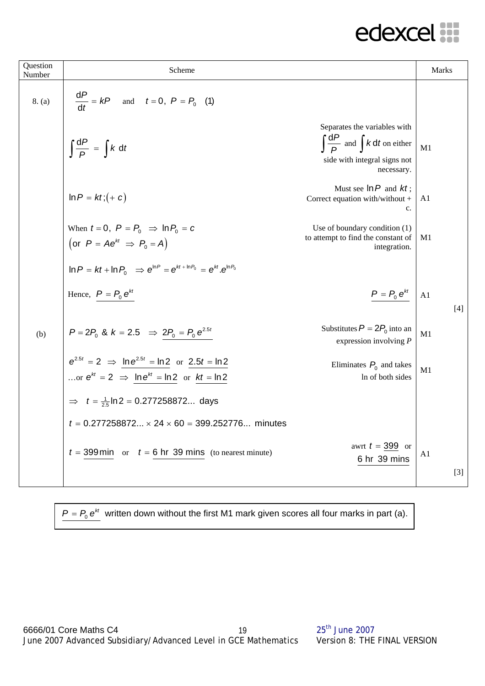| Question<br>Number | Scheme                                                                                                                        |                                                                                                                             | <b>Marks</b>   |
|--------------------|-------------------------------------------------------------------------------------------------------------------------------|-----------------------------------------------------------------------------------------------------------------------------|----------------|
| 8. (a)             | $\frac{dP}{dt} = kP$ and $t = 0$ , $P = P_0$ (1)                                                                              |                                                                                                                             |                |
|                    | $\int \frac{\mathrm{d}P}{P} = \int k \, \mathrm{d}t$                                                                          | Separates the variables with<br>$\int \frac{dP}{P}$ and $\int k dt$ on either<br>side with integral signs not<br>necessary. | M1             |
|                    | $\ln P = kt$ ; $(+ c)$                                                                                                        | Must see $\ln P$ and $kt$ ;<br>Correct equation with/without +<br>c.                                                        | A <sub>1</sub> |
|                    | When $t = 0$ , $P = P_0 \Rightarrow \ln P_0 = c$<br>(or $P = Ae^{kt} \Rightarrow P_0 = A$ )                                   | Use of boundary condition (1)<br>to attempt to find the constant of<br>integration.                                         | M1             |
|                    | $\ln P = kt + \ln P_0$ $\Rightarrow e^{\ln P} = e^{kt + \ln P_0} = e^{kt} \cdot e^{\ln P_0}$                                  |                                                                                                                             |                |
|                    | Hence, $P = P_0 e^{kt}$                                                                                                       | $P = P_0 e^{kt}$                                                                                                            | A1<br>$[4]$    |
| (b)                | $P = 2P_0$ & $k = 2.5$ $\Rightarrow 2P_0 = P_0 e^{2.5t}$                                                                      | Substitutes $P = 2P_0$ into an<br>expression involving $P$                                                                  | M1             |
|                    | $e^{2.5t} = 2 \implies \ln e^{2.5t} = \ln 2$ or $2.5t = \ln 2$<br>or $e^{kt} = 2 \implies \ln e^{kt} = \ln 2$ or $kt = \ln 2$ | Eliminates $P_0$ and takes<br>In of both sides                                                                              | M1             |
|                    | $\implies t = \frac{1}{25} \ln 2 = 0.277258872$ days                                                                          |                                                                                                                             |                |
|                    | $t = 0.277258872 \times 24 \times 60 = 399.252776$ minutes                                                                    |                                                                                                                             |                |
|                    | $t = 399$ min or $t = 6$ hr 39 mins (to nearest minute)                                                                       | awrt $t = 399$ or<br>6 hr 39 mins                                                                                           | A1             |
|                    |                                                                                                                               |                                                                                                                             | $[3]$          |

$$
P = P_0 e^{kt}
$$
 written down without the first M1 mark given scores all four marks in part (a).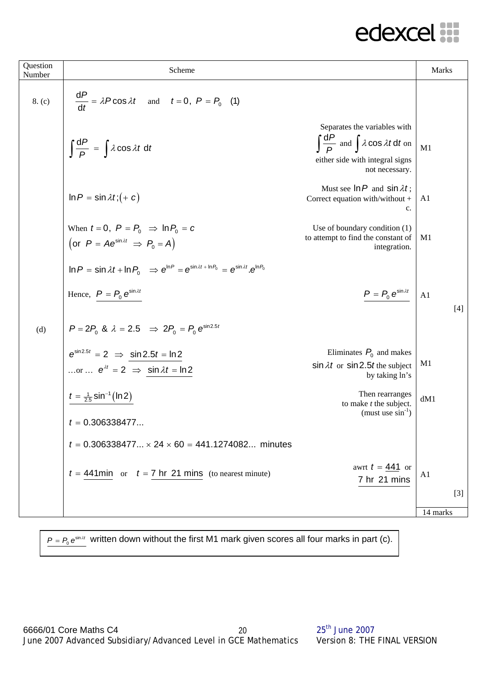| Question<br>Number | Scheme                                                                                                                         |                                                                                                                                                  | Marks             |
|--------------------|--------------------------------------------------------------------------------------------------------------------------------|--------------------------------------------------------------------------------------------------------------------------------------------------|-------------------|
| 8. (c)             | $\frac{dP}{dt} = \lambda P \cos \lambda t$ and $t = 0$ , $P = P_0$ (1)                                                         |                                                                                                                                                  |                   |
|                    | $\int \frac{\mathrm{d}P}{P} = \int \lambda \cos \lambda t \, \mathrm{d}t$                                                      | Separates the variables with<br>$\int \frac{dP}{D}$ and $\int \lambda \cos \lambda t dt$ on<br>either side with integral signs<br>not necessary. | M1                |
|                    | $\ln P = \sin \lambda t$ ; $(+ c)$                                                                                             | Must see $\ln P$ and $\sin \lambda t$ ;<br>Correct equation with/without +<br>c.                                                                 | A1                |
|                    | When $t = 0$ , $P = P_0 \Rightarrow \ln P_0 = c$<br>(or $P = Ae^{\sin \lambda t} \Rightarrow P_0 = A$ )                        | Use of boundary condition (1)<br>to attempt to find the constant of<br>integration.                                                              | M1                |
|                    | $\ln P = \sin \lambda t + \ln P_0 \Rightarrow e^{\ln P} = e^{\sin \lambda t + \ln P_0} = e^{\sin \lambda t} \cdot e^{\ln P_0}$ |                                                                                                                                                  |                   |
|                    | Hence, $P = P_0 e^{\sin \lambda t}$                                                                                            | $P = P_0 e^{\sin \lambda t}$                                                                                                                     | A1<br>$[4]$       |
| (d)                | $P = 2P_0$ & $\lambda = 2.5$ $\Rightarrow 2P_0 = P_0 e^{\sin 2.5t}$                                                            |                                                                                                                                                  |                   |
|                    | $e^{\sin 2.5t} = 2 \Rightarrow \sin 2.5t = \ln 2$<br>or $e^{\lambda t} = 2 \implies \sin \lambda t = \ln 2$                    | Eliminates $P_0$ and makes<br>$\sin \lambda t$ or $\sin 2.5t$ the subject<br>by taking ln's                                                      | M1                |
|                    | $t = \frac{1}{2.5} \sin^{-1}(\ln 2)$                                                                                           | Then rearranges<br>to make $t$ the subject.                                                                                                      | dM1               |
|                    | $t = 0.306338477$                                                                                                              | (must use $\sin^{-1}$ )                                                                                                                          |                   |
|                    | $t = 0.306338477 \times 24 \times 60 = 441.1274082$ minutes                                                                    |                                                                                                                                                  |                   |
|                    | $t = 441$ min or $t = 7$ hr 21 mins (to nearest minute)                                                                        | awrt $t = 441$ or<br>7 hr 21 mins                                                                                                                | A1                |
|                    |                                                                                                                                |                                                                                                                                                  | $[3]$<br>14 marks |
|                    |                                                                                                                                |                                                                                                                                                  |                   |

 $P = P_{o} e^{\sin 2t}$  written down without the first M1 mark given scores all four marks in part (c).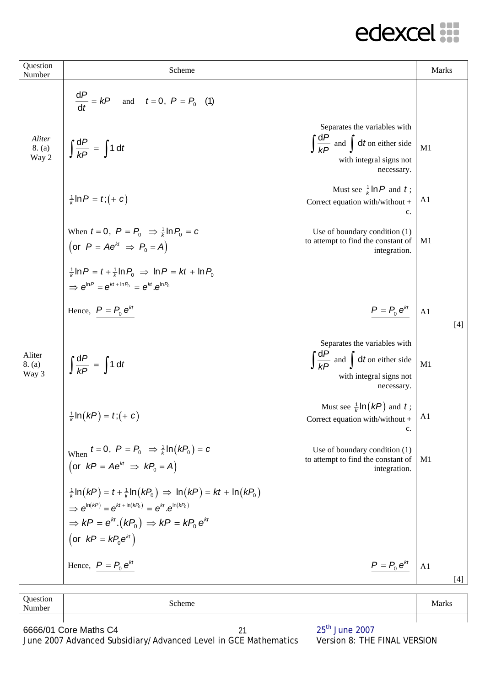| Question<br>Number          | Scheme                                                                                                                                                                                                                                                                      | <b>Marks</b>          |
|-----------------------------|-----------------------------------------------------------------------------------------------------------------------------------------------------------------------------------------------------------------------------------------------------------------------------|-----------------------|
|                             | $\frac{dP}{dt} = kP$ and $t = 0$ , $P = P_0$ (1)                                                                                                                                                                                                                            |                       |
| Aliter<br>$8. (a)$<br>Way 2 | Separates the variables with<br>$\int \frac{dP}{dP}$ and $\int dt$ on either side<br>$\int \frac{dP}{kP} = \int 1 dt$<br>with integral signs not<br>necessary.                                                                                                              | M1                    |
|                             | Must see $\frac{1}{k}$ ln P and t;<br>$\frac{1}{k}$ In $P = t$ ; $(+ c)$<br>Correct equation with/without +<br>c.                                                                                                                                                           | A <sub>1</sub>        |
|                             | When $t = 0$ , $P = P_0 \Rightarrow \frac{1}{k} \ln P_0 = c$<br>Use of boundary condition (1)<br>to attempt to find the constant of<br>(or $P = Ae^{kt} \Rightarrow P_0 = A$ )<br>integration.                                                                              | M1                    |
|                             | $\frac{1}{k}$ ln P = t + $\frac{1}{k}$ ln P <sub>0</sub> $\Rightarrow$ ln P = kt + ln P <sub>0</sub><br>$\Rightarrow e^{\ln P} = e^{kt + \ln P_0} = e^{kt} e^{\ln P_0}$                                                                                                     |                       |
|                             | $P = P_0 e^{kt}$<br>Hence, $P = P_0 e^{kt}$                                                                                                                                                                                                                                 | A1<br>$[4]$           |
| Aliter<br>8. (a)<br>Way 3   | Separates the variables with<br>$\int \frac{dP}{dP}$ and $\int dt$ on either side<br>$\int \frac{dP}{kP} = \int 1 dt$<br>with integral signs not<br>necessary.                                                                                                              | M1                    |
|                             | Must see $\frac{1}{k}$ In( <i>kP</i> ) and <i>t</i> ;<br>$\frac{1}{k}$ In $(kP) = t$ ; $(+ c)$<br>Correct equation with/without +<br>c.                                                                                                                                     | A1                    |
|                             | When $t = 0$ , $P = P_0 \Rightarrow \frac{1}{k} \ln(kP_0) = c$<br>Use of boundary condition (1)<br>to attempt to find the constant of<br>(or $kP = Ae^{kt} \Rightarrow kP_0 = A$ )<br>integration.                                                                          | M1                    |
|                             | $\frac{1}{k} \ln (kP) = t + \frac{1}{k} \ln (kP_0) \Rightarrow \ln (kP) = kt + \ln (kP_0)$<br>$\Rightarrow e^{\ln(kP)} = e^{kt + \ln(kP_0)} = e^{kt} \cdot e^{\ln(kP_0)}$<br>$\Rightarrow$ kP = $e^{kt}$ . $(kP_0) \Rightarrow kP = kP_0 e^{kt}$<br>(or $kP = kP_0e^{kt}$ ) |                       |
|                             | Hence, $P = P_0 e^{kt}$<br>$P = P_0 e^{kt}$                                                                                                                                                                                                                                 | A <sub>1</sub><br>[4] |

| Question<br>Number | Scheme | Marks |
|--------------------|--------|-------|
|                    |        |       |

6666/01 Core Maths C4 21 25<sup>th</sup> June 2007 June 2007 Advanced Subsidiary/Advanced Level in GCE Mathematics Version 8: THE FINAL VERSION 21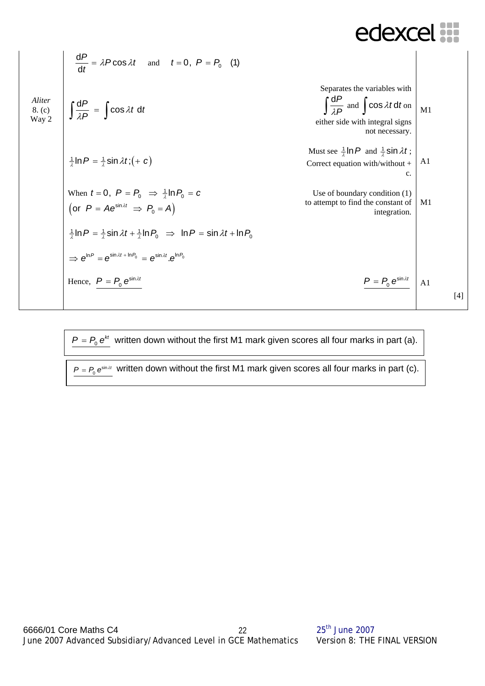| $\frac{dP}{dt} = \lambda P \cos \lambda t$ and $t = 0, P = P_0$ (1)                                                                                   |                                                                                                                                                                             |                                                                                  |
|-------------------------------------------------------------------------------------------------------------------------------------------------------|-----------------------------------------------------------------------------------------------------------------------------------------------------------------------------|----------------------------------------------------------------------------------|
| <i>Aliter</i>                                                                                                                                         | $\int \frac{dP}{\lambda P} = \int \cos \lambda t \, dt$                                                                                                                     | $\int \frac{dP}{\lambda P}$ and $\int \cos \lambda t \, dt$                      |
| $8 \cdot (c)$                                                                                                                                         | $\int \frac{dP}{\lambda P} = \int \cos \lambda t \, dt$                                                                                                                     | $\int \frac{dP}{\lambda P}$ and $\int \cos \lambda t \, dt$                      |
| $\frac{1}{2} \ln P = \frac{1}{\lambda} \sin \lambda t$ ; $(+ c)$                                                                                      | Must see $\frac{1}{\lambda} \ln P$ and $\frac{1}{\lambda} \sin \lambda t$ ;<br>Correct equation with/without +<br>c.<br>(or $P = Ae^{\sin \lambda t} \Rightarrow P_0 = A$ ) | Use of boundary condition (1)<br>to attempt to find the constant of integration. |
| $\frac{1}{\lambda} \ln P = \frac{1}{\lambda} \sin \lambda t + \frac{1}{\lambda} \ln P_0 \Rightarrow \ln P = \sin \lambda t + \ln P_0$<br>integration. |                                                                                                                                                                             |                                                                                  |
| $\Rightarrow e^{\ln P} = e^{\sin \lambda t} \cdot e^{\ln \beta}$                                                                                      | $\frac{P = P_0 e^{\sin \lambda t}}{P}$                                                                                                                                      | Al                                                                               |

$$
P = P_0 e^{kt}
$$
 written down without the first M1 mark given scores all four marks in part (a).

$$
P = P_0 e^{\sin \lambda t}
$$
 written down without the first M1 mark given scores all four marks in part (c).